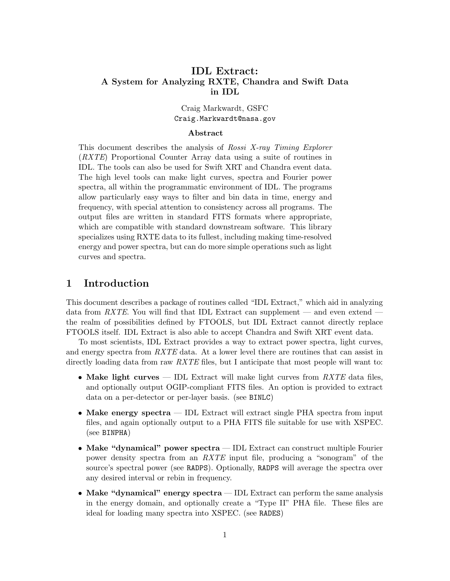# IDL Extract: A System for Analyzing RXTE, Chandra and Swift Data in IDL

## Craig Markwardt, GSFC Craig.Markwardt@nasa.gov

#### Abstract

This document describes the analysis of Rossi X-ray Timing Explorer (RXTE) Proportional Counter Array data using a suite of routines in IDL. The tools can also be used for Swift XRT and Chandra event data. The high level tools can make light curves, spectra and Fourier power spectra, all within the programmatic environment of IDL. The programs allow particularly easy ways to filter and bin data in time, energy and frequency, with special attention to consistency across all programs. The output files are written in standard FITS formats where appropriate, which are compatible with standard downstream software. This library specializes using RXTE data to its fullest, including making time-resolved energy and power spectra, but can do more simple operations such as light curves and spectra.

# 1 Introduction

This document describes a package of routines called "IDL Extract," which aid in analyzing data from RXTE. You will find that IDL Extract can supplement — and even extend the realm of possibilities defined by FTOOLS, but IDL Extract cannot directly replace FTOOLS itself. IDL Extract is also able to accept Chandra and Swift XRT event data.

To most scientists, IDL Extract provides a way to extract power spectra, light curves, and energy spectra from  $RXTE$  data. At a lower level there are routines that can assist in directly loading data from raw  $RXTE$  files, but I anticipate that most people will want to:

- Make light curves IDL Extract will make light curves from  $RXTE$  data files, and optionally output OGIP-compliant FITS files. An option is provided to extract data on a per-detector or per-layer basis. (see BINLC)
- Make energy spectra IDL Extract will extract single PHA spectra from input files, and again optionally output to a PHA FITS file suitable for use with XSPEC. (see BINPHA)
- Make "dynamical" power spectra IDL Extract can construct multiple Fourier power density spectra from an RXTE input file, producing a "sonogram" of the source's spectral power (see RADPS). Optionally, RADPS will average the spectra over any desired interval or rebin in frequency.
- Make "dynamical" energy spectra IDL Extract can perform the same analysis in the energy domain, and optionally create a "Type II" PHA file. These files are ideal for loading many spectra into XSPEC. (see RADES)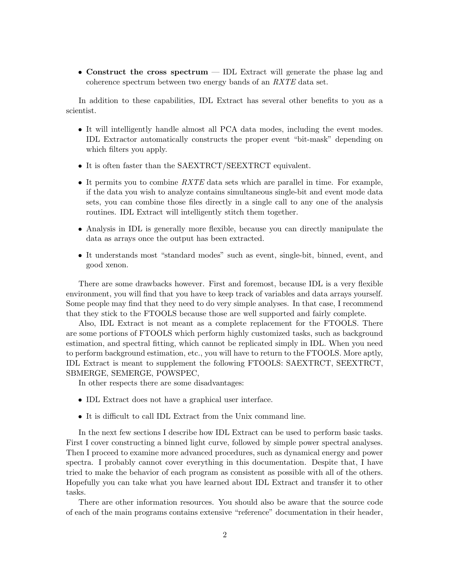• Construct the cross spectrum — IDL Extract will generate the phase lag and coherence spectrum between two energy bands of an RXTE data set.

In addition to these capabilities, IDL Extract has several other benefits to you as a scientist.

- It will intelligently handle almost all PCA data modes, including the event modes. IDL Extractor automatically constructs the proper event "bit-mask" depending on which filters you apply.
- It is often faster than the SAEXTRCT/SEEXTRCT equivalent.
- It permits you to combine  $RXTE$  data sets which are parallel in time. For example, if the data you wish to analyze contains simultaneous single-bit and event mode data sets, you can combine those files directly in a single call to any one of the analysis routines. IDL Extract will intelligently stitch them together.
- Analysis in IDL is generally more flexible, because you can directly manipulate the data as arrays once the output has been extracted.
- It understands most "standard modes" such as event, single-bit, binned, event, and good xenon.

There are some drawbacks however. First and foremost, because IDL is a very flexible environment, you will find that you have to keep track of variables and data arrays yourself. Some people may find that they need to do very simple analyses. In that case, I recommend that they stick to the FTOOLS because those are well supported and fairly complete.

Also, IDL Extract is not meant as a complete replacement for the FTOOLS. There are some portions of FTOOLS which perform highly customized tasks, such as background estimation, and spectral fitting, which cannot be replicated simply in IDL. When you need to perform background estimation, etc., you will have to return to the FTOOLS. More aptly, IDL Extract is meant to supplement the following FTOOLS: SAEXTRCT, SEEXTRCT, SBMERGE, SEMERGE, POWSPEC,

In other respects there are some disadvantages:

- IDL Extract does not have a graphical user interface.
- It is difficult to call IDL Extract from the Unix command line.

In the next few sections I describe how IDL Extract can be used to perform basic tasks. First I cover constructing a binned light curve, followed by simple power spectral analyses. Then I proceed to examine more advanced procedures, such as dynamical energy and power spectra. I probably cannot cover everything in this documentation. Despite that, I have tried to make the behavior of each program as consistent as possible with all of the others. Hopefully you can take what you have learned about IDL Extract and transfer it to other tasks.

There are other information resources. You should also be aware that the source code of each of the main programs contains extensive "reference" documentation in their header,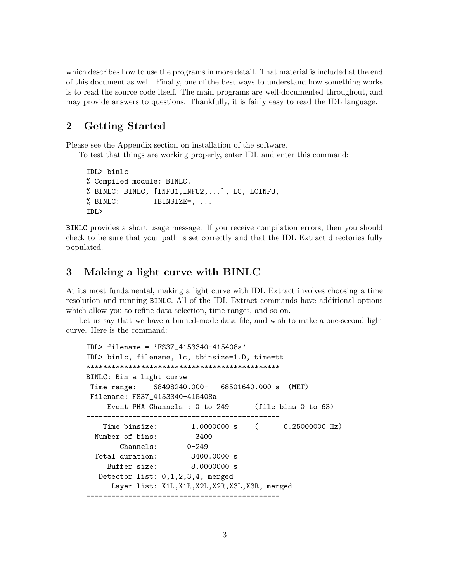which describes how to use the programs in more detail. That material is included at the end of this document as well. Finally, one of the best ways to understand how something works is to read the source code itself. The main programs are well-documented throughout, and may provide answers to questions. Thankfully, it is fairly easy to read the IDL language.

# 2 Getting Started

Please see the Appendix section on installation of the software.

To test that things are working properly, enter IDL and enter this command:

```
IDL> binlc
% Compiled module: BINLC.
% BINLC: BINLC, [INFO1,INFO2,...], LC, LCINFO,
% BINLC: TBINSIZE=, ...
IDL>
```
BINLC provides a short usage message. If you receive compilation errors, then you should check to be sure that your path is set correctly and that the IDL Extract directories fully populated.

# 3 Making a light curve with BINLC

At its most fundamental, making a light curve with IDL Extract involves choosing a time resolution and running BINLC. All of the IDL Extract commands have additional options which allow you to refine data selection, time ranges, and so on.

Let us say that we have a binned-mode data file, and wish to make a one-second light curve. Here is the command:

```
IDL> filename = 'FS37_4153340-415408a'
IDL> binlc, filename, lc, tbinsize=1.D, time=tt
**********************************************
BINLC: Bin a light curve
Time range: 68498240.000- 68501640.000 s (MET)
Filename: FS37_4153340-415408a
    Event PHA Channels : 0 to 249 (file bins 0 to 63)
----------------------------------------------
   Time binsize: 1.0000000 s ( 0.25000000 Hz)
 Number of bins: 3400
       Channels: 0-249
 Total duration: 3400.0000 s
    Buffer size: 8.0000000 s
  Detector list: 0,1,2,3,4, merged
     Layer list: X1L,X1R,X2L,X2R,X3L,X3R, merged
----------------------------------------------
```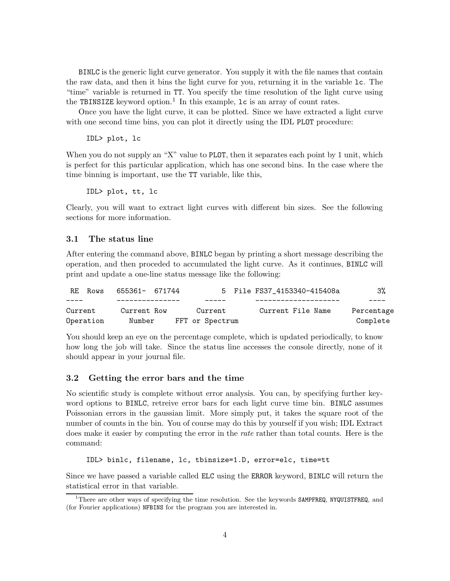BINLC is the generic light curve generator. You supply it with the file names that contain the raw data, and then it bins the light curve for you, returning it in the variable lc. The "time" variable is returned in TT. You specify the time resolution of the light curve using the TBINSIZE keyword option.<sup>1</sup> In this example,  $1c$  is an array of count rates.

Once you have the light curve, it can be plotted. Since we have extracted a light curve with one second time bins, you can plot it directly using the IDL PLOT procedure:

IDL> plot, lc

When you do not supply an "X" value to **PLOT**, then it separates each point by 1 unit, which is perfect for this particular application, which has one second bins. In the case where the time binning is important, use the TT variable, like this,

IDL> plot, tt, lc

Clearly, you will want to extract light curves with different bin sizes. See the following sections for more information.

#### 3.1 The status line

After entering the command above, BINLC began by printing a short message describing the operation, and then proceded to accumulated the light curve. As it continues, BINLC will print and update a one-line status message like the following:

| RE Rows   | 655361- 671744 |                 | 5 File FS37 4153340-415408a | 3%         |
|-----------|----------------|-----------------|-----------------------------|------------|
| $- - - -$ |                |                 |                             |            |
| Current   | Current Row    | Current         | Current File Name           | Percentage |
| Operation | Number         | FFT or Spectrum |                             | Complete   |

You should keep an eye on the percentage complete, which is updated periodically, to know how long the job will take. Since the status line accesses the console directly, none of it should appear in your journal file.

### 3.2 Getting the error bars and the time

No scientific study is complete without error analysis. You can, by specifying further keyword options to BINLC, retreive error bars for each light curve time bin. BINLC assumes Poissonian errors in the gaussian limit. More simply put, it takes the square root of the number of counts in the bin. You of course may do this by yourself if you wish; IDL Extract does make it easier by computing the error in the *rate* rather than total counts. Here is the command:

#### IDL> binlc, filename, lc, tbinsize=1.D, error=elc, time=tt

Since we have passed a variable called ELC using the ERROR keyword, BINLC will return the statistical error in that variable.

<sup>&</sup>lt;sup>1</sup>There are other ways of specifying the time resolution. See the keywords **SAMPFREQ, NYQUISTFREQ**, and (for Fourier applications) NFBINS for the program you are interested in.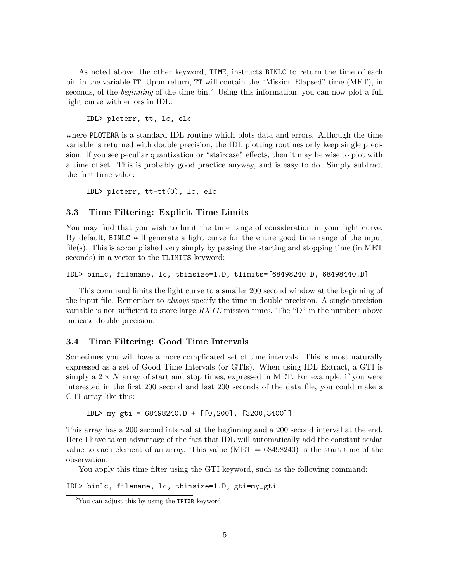As noted above, the other keyword, TIME, instructs BINLC to return the time of each bin in the variable TT. Upon return, TT will contain the "Mission Elapsed" time (MET), in seconds, of the *beginning* of the time bin.<sup>2</sup> Using this information, you can now plot a full light curve with errors in IDL:

IDL> ploterr, tt, lc, elc

where PLOTERR is a standard IDL routine which plots data and errors. Although the time variable is returned with double precision, the IDL plotting routines only keep single precision. If you see peculiar quantization or "staircase" effects, then it may be wise to plot with a time offset. This is probably good practice anyway, and is easy to do. Simply subtract the first time value:

IDL> ploterr, tt-tt(0), lc, elc

#### 3.3 Time Filtering: Explicit Time Limits

You may find that you wish to limit the time range of consideration in your light curve. By default, BINLC will generate a light curve for the entire good time range of the input file(s). This is accomplished very simply by passing the starting and stopping time (in MET seconds) in a vector to the TLIMITS keyword:

```
IDL> binlc, filename, lc, tbinsize=1.D, tlimits=[68498240.D, 68498440.D]
```
This command limits the light curve to a smaller 200 second window at the beginning of the input file. Remember to *always* specify the time in double precision. A single-precision variable is not sufficient to store large  $RXTE$  mission times. The "D" in the numbers above indicate double precision.

## 3.4 Time Filtering: Good Time Intervals

Sometimes you will have a more complicated set of time intervals. This is most naturally expressed as a set of Good Time Intervals (or GTIs). When using IDL Extract, a GTI is simply a  $2 \times N$  array of start and stop times, expressed in MET. For example, if you were interested in the first 200 second and last 200 seconds of the data file, you could make a GTI array like this:

IDL> my\_gti = 68498240.D + [[0,200], [3200,3400]]

This array has a 200 second interval at the beginning and a 200 second interval at the end. Here I have taken advantage of the fact that IDL will automatically add the constant scalar value to each element of an array. This value  $(MET = 68498240)$  is the start time of the observation.

You apply this time filter using the GTI keyword, such as the following command:

IDL> binlc, filename, lc, tbinsize=1.D, gti=my\_gti

 $2$ You can adjust this by using the TPIXR keyword.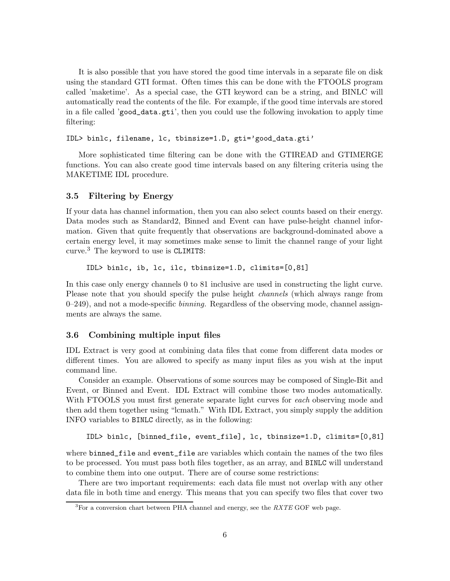It is also possible that you have stored the good time intervals in a separate file on disk using the standard GTI format. Often times this can be done with the FTOOLS program called 'maketime'. As a special case, the GTI keyword can be a string, and BINLC will automatically read the contents of the file. For example, if the good time intervals are stored in a file called 'good\_data.gti', then you could use the following invokation to apply time filtering:

IDL> binlc, filename, lc, tbinsize=1.D, gti='good\_data.gti'

More sophisticated time filtering can be done with the GTIREAD and GTIMERGE functions. You can also create good time intervals based on any filtering criteria using the MAKETIME IDL procedure.

## 3.5 Filtering by Energy

If your data has channel information, then you can also select counts based on their energy. Data modes such as Standard2, Binned and Event can have pulse-height channel information. Given that quite frequently that observations are background-dominated above a certain energy level, it may sometimes make sense to limit the channel range of your light curve.<sup>3</sup> The keyword to use is CLIMITS:

IDL> binlc, ib, lc, ilc, tbinsize=1.D, climits=[0,81]

In this case only energy channels 0 to 81 inclusive are used in constructing the light curve. Please note that you should specify the pulse height *channels* (which always range from  $0-249$ , and not a mode-specific *binning*. Regardless of the observing mode, channel assignments are always the same.

## 3.6 Combining multiple input files

IDL Extract is very good at combining data files that come from different data modes or different times. You are allowed to specify as many input files as you wish at the input command line.

Consider an example. Observations of some sources may be composed of Single-Bit and Event, or Binned and Event. IDL Extract will combine those two modes automatically. With FTOOLS you must first generate separate light curves for each observing mode and then add them together using "lcmath." With IDL Extract, you simply supply the addition INFO variables to BINLC directly, as in the following:

```
IDL> binlc, [binned_file, event_file], lc, tbinsize=1.D, climits=[0,81]
```
where binned\_file and event\_file are variables which contain the names of the two files to be processed. You must pass both files together, as an array, and BINLC will understand to combine them into one output. There are of course some restrictions:

There are two important requirements: each data file must not overlap with any other data file in both time and energy. This means that you can specify two files that cover two

 ${}^{3}$ For a conversion chart between PHA channel and energy, see the  $RXTE$  GOF web page.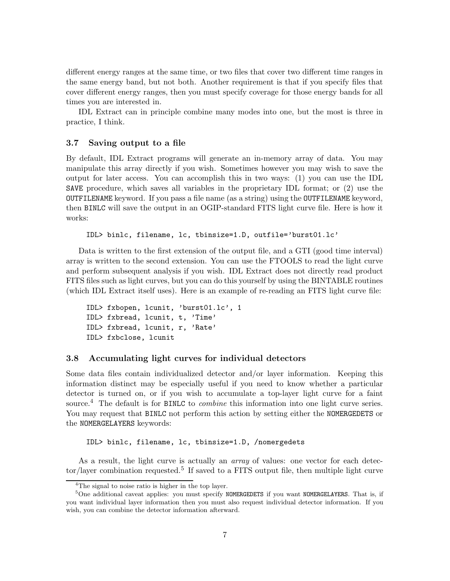different energy ranges at the same time, or two files that cover two different time ranges in the same energy band, but not both. Another requirement is that if you specify files that cover different energy ranges, then you must specify coverage for those energy bands for all times you are interested in.

IDL Extract can in principle combine many modes into one, but the most is three in practice, I think.

#### 3.7 Saving output to a file

By default, IDL Extract programs will generate an in-memory array of data. You may manipulate this array directly if you wish. Sometimes however you may wish to save the output for later access. You can accomplish this in two ways: (1) you can use the IDL SAVE procedure, which saves all variables in the proprietary IDL format; or (2) use the OUTFILENAME keyword. If you pass a file name (as a string) using the OUTFILENAME keyword, then BINLC will save the output in an OGIP-standard FITS light curve file. Here is how it works:

```
IDL> binlc, filename, lc, tbinsize=1.D, outfile='burst01.lc'
```
Data is written to the first extension of the output file, and a GTI (good time interval) array is written to the second extension. You can use the FTOOLS to read the light curve and perform subsequent analysis if you wish. IDL Extract does not directly read product FITS files such as light curves, but you can do this yourself by using the BINTABLE routines (which IDL Extract itself uses). Here is an example of re-reading an FITS light curve file:

```
IDL> fxbopen, lcunit, 'burst01.lc', 1
IDL> fxbread, lcunit, t, 'Time'
IDL> fxbread, lcunit, r, 'Rate'
IDL> fxbclose, lcunit
```
#### 3.8 Accumulating light curves for individual detectors

Some data files contain individualized detector and/or layer information. Keeping this information distinct may be especially useful if you need to know whether a particular detector is turned on, or if you wish to accumulate a top-layer light curve for a faint source.<sup>4</sup> The default is for BINLC to *combine* this information into one light curve series. You may request that BINLC not perform this action by setting either the NOMERGEDETS or the NOMERGELAYERS keywords:

#### IDL> binlc, filename, lc, tbinsize=1.D, /nomergedets

As a result, the light curve is actually an *array* of values: one vector for each detector/layer combination requested.<sup>5</sup> If saved to a FITS output file, then multiple light curve

<sup>&</sup>lt;sup>4</sup>The signal to noise ratio is higher in the top layer.

 $5$ One additional caveat applies: you must specify NOMERGEDETS if you want NOMERGELAYERS. That is, if you want individual layer information then you must also request individual detector information. If you wish, you can combine the detector information afterward.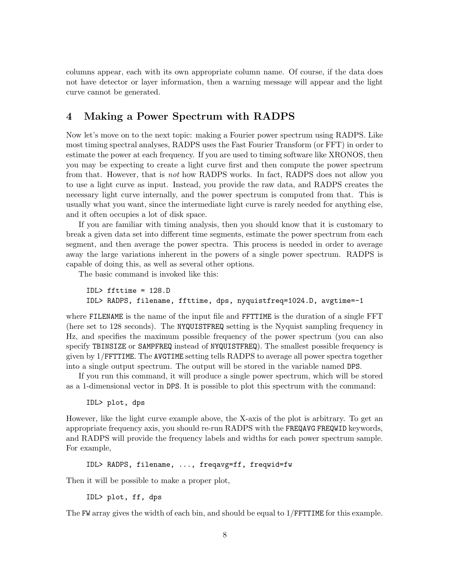columns appear, each with its own appropriate column name. Of course, if the data does not have detector or layer information, then a warning message will appear and the light curve cannot be generated.

# 4 Making a Power Spectrum with RADPS

Now let's move on to the next topic: making a Fourier power spectrum using RADPS. Like most timing spectral analyses, RADPS uses the Fast Fourier Transform (or FFT) in order to estimate the power at each frequency. If you are used to timing software like XRONOS, then you may be expecting to create a light curve first and then compute the power spectrum from that. However, that is not how RADPS works. In fact, RADPS does not allow you to use a light curve as input. Instead, you provide the raw data, and RADPS creates the necessary light curve internally, and the power spectrum is computed from that. This is usually what you want, since the intermediate light curve is rarely needed for anything else, and it often occupies a lot of disk space.

If you are familiar with timing analysis, then you should know that it is customary to break a given data set into different time segments, estimate the power spectrum from each segment, and then average the power spectra. This process is needed in order to average away the large variations inherent in the powers of a single power spectrum. RADPS is capable of doing this, as well as several other options.

The basic command is invoked like this:

```
IDL> ffttime = 128.D
IDL> RADPS, filename, ffttime, dps, nyquistfreq=1024.D, avgtime=-1
```
where FILENAME is the name of the input file and FFTTIME is the duration of a single FFT (here set to 128 seconds). The NYQUISTFREQ setting is the Nyquist sampling frequency in Hz, and specifies the maximum possible frequency of the power spectrum (you can also specify TBINSIZE or SAMPFREQ instead of NYQUISTFREQ). The smallest possible frequency is given by 1/FFTTIME. The AVGTIME setting tells RADPS to average all power spectra together into a single output spectrum. The output will be stored in the variable named DPS.

If you run this command, it will produce a single power spectrum, which will be stored as a 1-dimensional vector in DPS. It is possible to plot this spectrum with the command:

#### IDL> plot, dps

However, like the light curve example above, the X-axis of the plot is arbitrary. To get an appropriate frequency axis, you should re-run RADPS with the FREQAVG FREQWID keywords, and RADPS will provide the frequency labels and widths for each power spectrum sample. For example,

IDL> RADPS, filename, ..., freqavg=ff, freqwid=fw

Then it will be possible to make a proper plot,

IDL> plot, ff, dps

The FW array gives the width of each bin, and should be equal to  $1/FFTTIME$  for this example.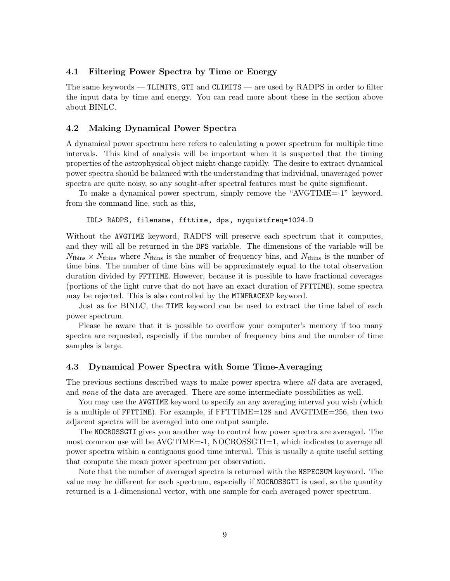## 4.1 Filtering Power Spectra by Time or Energy

The same keywords — TLIMITS, GTI and CLIMITS — are used by RADPS in order to filter the input data by time and energy. You can read more about these in the section above about BINLC.

#### 4.2 Making Dynamical Power Spectra

A dynamical power spectrum here refers to calculating a power spectrum for multiple time intervals. This kind of analysis will be important when it is suspected that the timing properties of the astrophysical object might change rapidly. The desire to extract dynamical power spectra should be balanced with the understanding that individual, unaveraged power spectra are quite noisy, so any sought-after spectral features must be quite significant.

To make a dynamical power spectrum, simply remove the "AVGTIME=-1" keyword, from the command line, such as this,

#### IDL> RADPS, filename, ffttime, dps, nyquistfreq=1024.D

Without the AVGTIME keyword, RADPS will preserve each spectrum that it computes, and they will all be returned in the DPS variable. The dimensions of the variable will be  $N_{\text{fbins}} \times N_{\text{tbins}}$  where  $N_{\text{fbins}}$  is the number of frequency bins, and  $N_{\text{tbins}}$  is the number of time bins. The number of time bins will be approximately equal to the total observation duration divided by FFTTIME. However, because it is possible to have fractional coverages (portions of the light curve that do not have an exact duration of FFTTIME), some spectra may be rejected. This is also controlled by the MINFRACEXP keyword.

Just as for BINLC, the TIME keyword can be used to extract the time label of each power spectrum.

Please be aware that it is possible to overflow your computer's memory if too many spectra are requested, especially if the number of frequency bins and the number of time samples is large.

#### 4.3 Dynamical Power Spectra with Some Time-Averaging

The previous sections described ways to make power spectra where all data are averaged, and none of the data are averaged. There are some intermediate possibilities as well.

You may use the AVGTIME keyword to specify an any averaging interval you wish (which is a multiple of FFTTIME). For example, if FFTTIME=128 and AVGTIME=256, then two adjacent spectra will be averaged into one output sample.

The NOCROSSGTI gives you another way to control how power spectra are averaged. The most common use will be AVGTIME=-1, NOCROSSGTI=1, which indicates to average all power spectra within a contiguous good time interval. This is usually a quite useful setting that compute the mean power spectrum per observation.

Note that the number of averaged spectra is returned with the NSPECSUM keyword. The value may be different for each spectrum, especially if NOCROSSGTI is used, so the quantity returned is a 1-dimensional vector, with one sample for each averaged power spectrum.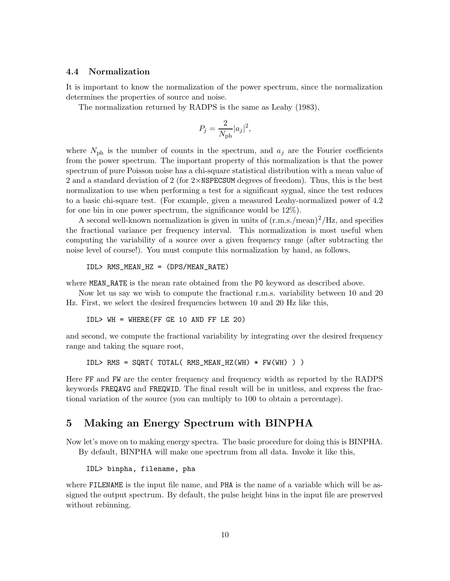## 4.4 Normalization

It is important to know the normalization of the power spectrum, since the normalization determines the properties of source and noise.

The normalization returned by RADPS is the same as Leahy (1983),

$$
P_j = \frac{2}{N_{\rm ph}} |a_j|^2,
$$

where  $N_{\text{ph}}$  is the number of counts in the spectrum, and  $a_j$  are the Fourier coefficients from the power spectrum. The important property of this normalization is that the power spectrum of pure Poisson noise has a chi-square statistical distribution with a mean value of 2 and a standard deviation of 2 (for  $2 \times$ NSPECSUM degrees of freedom). Thus, this is the best normalization to use when performing a test for a significant sygnal, since the test reduces to a basic chi-square test. (For example, given a measured Leahy-normalized power of 4.2 for one bin in one power spectrum, the significance would be 12%).

A second well-known normalization is given in units of (r.m.s./mean) <sup>2</sup>/Hz, and specifies the fractional variance per frequency interval. This normalization is most useful when computing the variability of a source over a given frequency range (after subtracting the noise level of course!). You must compute this normalization by hand, as follows,

$$
IDL > RMS\_MEAN_HZ = (DPS/MEAN_RATE)
$$

where MEAN\_RATE is the mean rate obtained from the P0 keyword as described above.

Now let us say we wish to compute the fractional r.m.s. variability between 10 and 20 Hz. First, we select the desired frequencies between 10 and 20 Hz like this,

IDL> WH = WHERE(FF GE 10 AND FF LE 20)

and second, we compute the fractional variability by integrating over the desired frequency range and taking the square root,

IDL> RMS = SQRT( TOTAL( RMS\_MEAN\_HZ(WH) \* FW(WH) ) )

Here FF and FW are the center frequency and frequency width as reported by the RADPS keywords FREQAVG and FREQWID. The final result will be in unitless, and express the fractional variation of the source (you can multiply to 100 to obtain a percentage).

# 5 Making an Energy Spectrum with BINPHA

Now let's move on to making energy spectra. The basic procedure for doing this is BINPHA. By default, BINPHA will make one spectrum from all data. Invoke it like this,

IDL> binpha, filename, pha

where FILENAME is the input file name, and PHA is the name of a variable which will be assigned the output spectrum. By default, the pulse height bins in the input file are preserved without rebinning.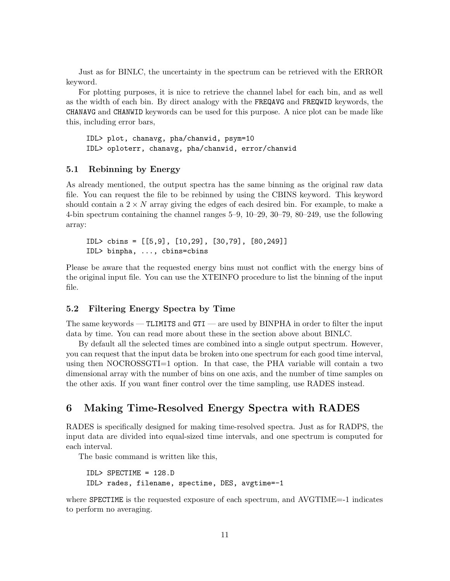Just as for BINLC, the uncertainty in the spectrum can be retrieved with the ERROR keyword.

For plotting purposes, it is nice to retrieve the channel label for each bin, and as well as the width of each bin. By direct analogy with the FREQAVG and FREQWID keywords, the CHANAVG and CHANWID keywords can be used for this purpose. A nice plot can be made like this, including error bars,

IDL> plot, chanavg, pha/chanwid, psym=10 IDL> oploterr, chanavg, pha/chanwid, error/chanwid

## 5.1 Rebinning by Energy

As already mentioned, the output spectra has the same binning as the original raw data file. You can request the file to be rebinned by using the CBINS keyword. This keyword should contain a  $2 \times N$  array giving the edges of each desired bin. For example, to make a 4-bin spectrum containing the channel ranges 5–9, 10–29, 30–79, 80–249, use the following array:

IDL> cbins = [[5,9], [10,29], [30,79], [80,249]] IDL> binpha, ..., cbins=cbins

Please be aware that the requested energy bins must not conflict with the energy bins of the original input file. You can use the XTEINFO procedure to list the binning of the input file.

## 5.2 Filtering Energy Spectra by Time

The same keywords — TLIMITS and GTI — are used by BINPHA in order to filter the input data by time. You can read more about these in the section above about BINLC.

By default all the selected times are combined into a single output spectrum. However, you can request that the input data be broken into one spectrum for each good time interval, using then NOCROSSGTI=1 option. In that case, the PHA variable will contain a two dimensional array with the number of bins on one axis, and the number of time samples on the other axis. If you want finer control over the time sampling, use RADES instead.

# 6 Making Time-Resolved Energy Spectra with RADES

RADES is specifically designed for making time-resolved spectra. Just as for RADPS, the input data are divided into equal-sized time intervals, and one spectrum is computed for each interval.

The basic command is written like this,

```
IDL> SPECTIME = 128.D
IDL> rades, filename, spectime, DES, avgtime=-1
```
where **SPECTIME** is the requested exposure of each spectrum, and AVGTIME=-1 indicates to perform no averaging.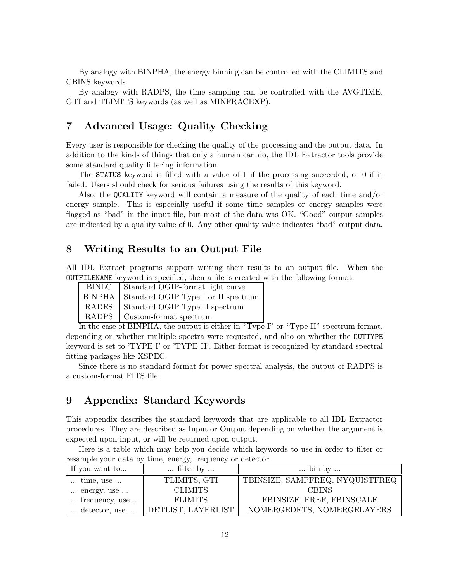By analogy with BINPHA, the energy binning can be controlled with the CLIMITS and CBINS keywords.

By analogy with RADPS, the time sampling can be controlled with the AVGTIME, GTI and TLIMITS keywords (as well as MINFRACEXP).

# 7 Advanced Usage: Quality Checking

Every user is responsible for checking the quality of the processing and the output data. In addition to the kinds of things that only a human can do, the IDL Extractor tools provide some standard quality filtering information.

The STATUS keyword is filled with a value of 1 if the processing succeeded, or 0 if it failed. Users should check for serious failures using the results of this keyword.

Also, the QUALITY keyword will contain a measure of the quality of each time and/or energy sample. This is especially useful if some time samples or energy samples were flagged as "bad" in the input file, but most of the data was OK. "Good" output samples are indicated by a quality value of 0. Any other quality value indicates "bad" output data.

## 8 Writing Results to an Output File

All IDL Extract programs support writing their results to an output file. When the OUTFILENAME keyword is specified, then a file is created with the following format:

| BINLC Standard OGIP-format light curve     |
|--------------------------------------------|
| BINPHA Standard OGIP Type I or II spectrum |
| RADES Standard OGIP Type II spectrum       |
| RADPS   Custom-format spectrum             |

In the case of BINPHA, the output is either in "Type I" or "Type II" spectrum format, depending on whether multiple spectra were requested, and also on whether the OUTTYPE keyword is set to 'TYPE I' or 'TYPE II'. Either format is recognized by standard spectral fitting packages like XSPEC.

Since there is no standard format for power spectral analysis, the output of RADPS is a custom-format FITS file.

# 9 Appendix: Standard Keywords

This appendix describes the standard keywords that are applicable to all IDL Extractor procedures. They are described as Input or Output depending on whether the argument is expected upon input, or will be returned upon output.

Here is a table which may help you decide which keywords to use in order to filter or resample your data by time, energy, frequency or detector.

| If you want to            | $\ldots$ filter by $\ldots$ | $\ldots$ bin by $\ldots$        |
|---------------------------|-----------------------------|---------------------------------|
| $\dots$ time, use $\dots$ | TLIMITS, GTI                | TBINSIZE, SAMPFREQ, NYQUISTFREQ |
| energy, use               | <b>CLIMITS</b>              | <b>CBINS</b>                    |
| frequency, use            | <b>FLIMITS</b>              | FBINSIZE, FREF, FBINSCALE       |
| detector, use             | DETLIST, LAYERLIST          | NOMERGEDETS, NOMERGELAYERS      |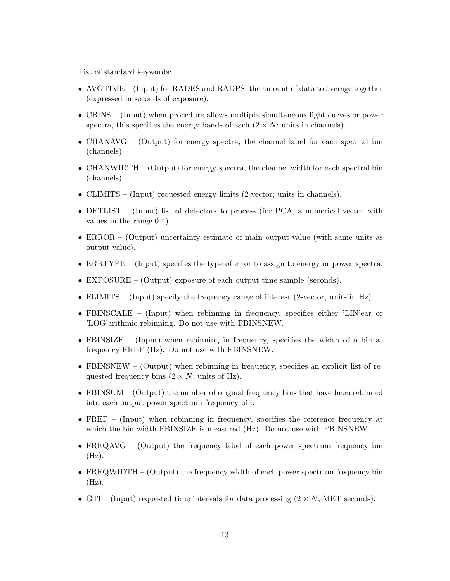List of standard keywords:

- AVGTIME (Input) for RADES and RADPS, the amount of data to average together (expressed in seconds of exposure).
- CBINS (Input) when procedure allows multiple simultaneous light curves or power spectra, this specifies the energy bands of each  $(2 \times N; \text{units in channels}).$
- CHANAVG (Output) for energy spectra, the channel label for each spectral bin (channels).
- CHANWIDTH (Output) for energy spectra, the channel width for each spectral bin (channels).
- CLIMITS (Input) requested energy limits (2-vector; units in channels).
- DETLIST (Input) list of detectors to process (for PCA, a numerical vector with values in the range 0-4).
- ERROR (Output) uncertainty estimate of main output value (with same units as output value).
- ERRTYPE (Input) specifies the type of error to assign to energy or power spectra.
- EXPOSURE (Output) exposure of each output time sample (seconds).
- FLIMITS (Input) specify the frequency range of interest (2-vector, units in Hz).
- FBINSCALE (Input) when rebinning in frequency, specifies either 'LIN'ear or 'LOG'arithmic rebinning. Do not use with FBINSNEW.
- FBINSIZE (Input) when rebinning in frequency, specifies the width of a bin at frequency FREF (Hz). Do not use with FBINSNEW.
- FBINSNEW (Output) when rebinning in frequency, specifies an explicit list of requested frequency bins  $(2 \times N; \text{ units of Hz}).$
- FBINSUM (Output) the number of original frequency bins that have been rebinned into each output power spectrum frequency bin.
- FREF (Input) when rebinning in frequency, specifies the reference frequency at which the bin width FBINSIZE is measured (Hz). Do not use with FBINSNEW.
- FREQAVG (Output) the frequency label of each power spectrum frequency bin  $(Hz)$ .
- FREQWIDTH (Output) the frequency width of each power spectrum frequency bin  $(Hz)$ .
- GTI (Input) requested time intervals for data processing  $(2 \times N, MET$  seconds).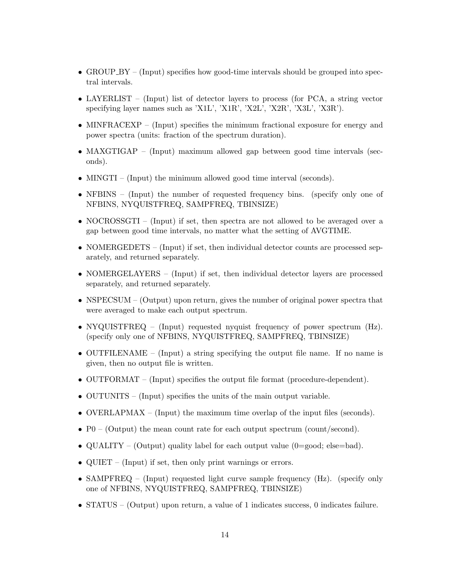- GROUP\_BY (Input) specifies how good-time intervals should be grouped into spectral intervals.
- LAYERLIST (Input) list of detector layers to process (for PCA, a string vector specifying layer names such as 'X1L', 'X1R', 'X2L', 'X2R', 'X3L', 'X3R').
- MINFRACEXP (Input) specifies the minimum fractional exposure for energy and power spectra (units: fraction of the spectrum duration).
- MAXGTIGAP (Input) maximum allowed gap between good time intervals (seconds).
- MINGTI (Input) the minimum allowed good time interval (seconds).
- NFBINS (Input) the number of requested frequency bins. (specify only one of NFBINS, NYQUISTFREQ, SAMPFREQ, TBINSIZE)
- NOCROSSGTI (Input) if set, then spectra are not allowed to be averaged over a gap between good time intervals, no matter what the setting of AVGTIME.
- NOMERGEDETS (Input) if set, then individual detector counts are processed separately, and returned separately.
- NOMERGELAYERS (Input) if set, then individual detector layers are processed separately, and returned separately.
- NSPECSUM (Output) upon return, gives the number of original power spectra that were averaged to make each output spectrum.
- NYQUISTFREQ (Input) requested nyquist frequency of power spectrum (Hz). (specify only one of NFBINS, NYQUISTFREQ, SAMPFREQ, TBINSIZE)
- OUTFILENAME (Input) a string specifying the output file name. If no name is given, then no output file is written.
- OUTFORMAT (Input) specifies the output file format (procedure-dependent).
- OUTUNITS (Input) specifies the units of the main output variable.
- OVERLAPMAX (Input) the maximum time overlap of the input files (seconds).
- $P0 (Output)$  the mean count rate for each output spectrum (count/second).
- QUALITY (Output) quality label for each output value (0=good; else=bad).
- QUIET (Input) if set, then only print warnings or errors.
- SAMPFREQ (Input) requested light curve sample frequency (Hz). (specify only one of NFBINS, NYQUISTFREQ, SAMPFREQ, TBINSIZE)
- STATUS (Output) upon return, a value of 1 indicates success, 0 indicates failure.